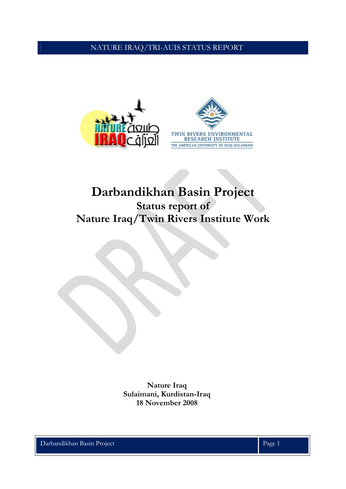



# **Darbandikhan Basin Project Status report of Nature Iraq/Twin Rivers Institute Work**



**Nature Iraq Sulaimani, Kurdistan-Iraq 18 November 2008** 

Darbandikhan Basin Project Page 1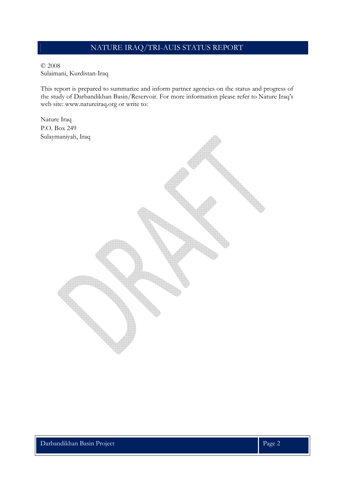#### © 2008 Sulaimani, Kurdistan-Iraq

This report is prepared to summarize and inform partner agencies on the status and progress of the study of Darbandikhan Basin/Reservoir. For more information please refer to Nature Iraq's web site: www.natureiraq.org or write to:

Nature Iraq P.O. Box 249 Sulaymaniyah, Iraq

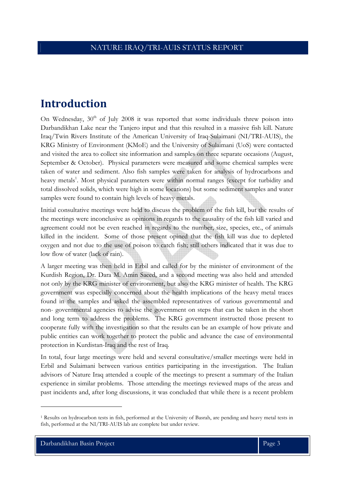# **Introduction**

On Wednesday, 30<sup>th</sup> of July 2008 it was reported that some individuals threw poison into Darbandikhan Lake near the Tanjero input and that this resulted in a massive fish kill. Nature Iraq/Twin Rivers Institute of the American University of Iraq-Sulaimani (NI/TRI-AUIS), the KRG Ministry of Environment (KMoE) and the University of Sulaimani (UoS) were contacted and visited the area to collect site information and samples on three separate occasions (August, September & October). Physical parameters were measured and some chemical samples were taken of water and sediment. Also fish samples were taken for analysis of hydrocarbons and heavy metals<sup>1</sup>. Most physical parameters were within normal ranges (except for turbidity and total dissolved solids, which were high in some locations) but some sediment samples and water samples were found to contain high levels of heavy metals.

Initial consultative meetings were held to discuss the problem of the fish kill, but the results of the meetings were inconclusive as opinions in regards to the causality of the fish kill varied and agreement could not be even reached in regards to the number, size, species, etc., of animals killed in the incident. Some of those present opined that the fish kill was due to depleted oxygen and not due to the use of poison to catch fish; still others indicated that it was due to low flow of water (lack of rain).

A larger meeting was then held in Erbil and called for by the minister of environment of the Kurdish Region, Dr. Dara M. Amin Saeed, and a second meeting was also held and attended not only by the KRG minister of environment, but also the KRG minister of health. The KRG government was especially concerned about the health implications of the heavy metal traces found in the samples and asked the assembled representatives of various governmental and non- governmental agencies to advise the government on steps that can be taken in the short and long term to address the problems. The KRG government instructed those present to cooperate fully with the investigation so that the results can be an example of how private and public entities can work together to protect the public and advance the case of environmental protection in Kurdistan-Iraq and the rest of Iraq.

In total, four large meetings were held and several consultative/smaller meetings were held in Erbil and Sulaimani between various entities participating in the investigation. The Italian advisors of Nature Iraq attended a couple of the meetings to present a summary of the Italian experience in similar problems. Those attending the meetings reviewed maps of the areas and past incidents and, after long discussions, it was concluded that while there is a recent problem

<sup>1</sup> Results on hydrocarbon tests in fish, performed at the University of Basrah, are pending and heavy metal tests in fish, performed at the NI/TRI-AUIS lab are complete but under review.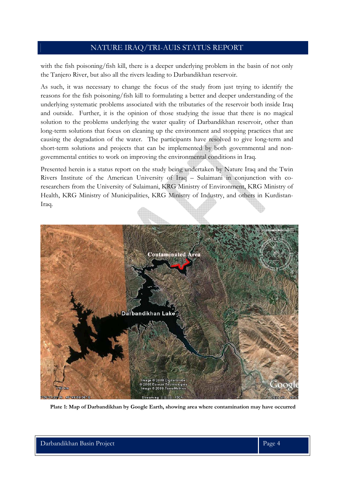with the fish poisoning/fish kill, there is a deeper underlying problem in the basin of not only the Tanjero River, but also all the rivers leading to Darbandikhan reservoir.

As such, it was necessary to change the focus of the study from just trying to identify the reasons for the fish poisoning/fish kill to formulating a better and deeper understanding of the underlying systematic problems associated with the tributaries of the reservoir both inside Iraq and outside. Further, it is the opinion of those studying the issue that there is no magical solution to the problems underlying the water quality of Darbandikhan reservoir, other than long-term solutions that focus on cleaning up the environment and stopping practices that are causing the degradation of the water. The participants have resolved to give long-term and short-term solutions and projects that can be implemented by both governmental and nongovernmental entities to work on improving the environmental conditions in Iraq.

Presented herein is a status report on the study being undertaken by Nature Iraq and the Twin Rivers Institute of the American University of Iraq – Sulaimani in conjunction with coresearchers from the University of Sulaimani, KRG Ministry of Environment, KRG Ministry of Health, KRG Ministry of Municipalities, KRG Ministry of Industry, and others in Kurdistan-Iraq.



**Plate 1: Map of Darbandikhan by Google Earth, showing area where contamination may have occurred**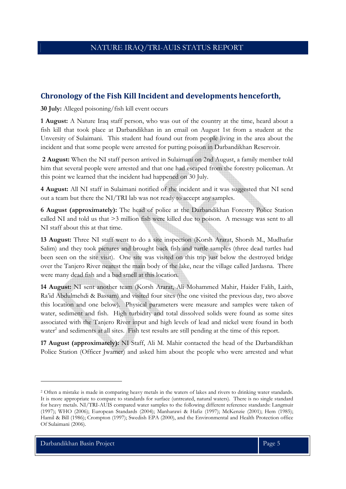## **Chronology of the Fish Kill Incident and developments henceforth,**

**30 July:** Alleged poisoning/fish kill event occurs

**1 August:** A Nature Iraq staff person, who was out of the country at the time, heard about a fish kill that took place at Darbandikhan in an email on August 1st from a student at the Unversity of Sulaimani. This student had found out from people living in the area about the incident and that some people were arrested for putting poison in Darbandikhan Reservoir.

**2 August:** When the NI staff person arrived in Sulaimani on 2nd August, a family member told him that several people were arrested and that one had escaped from the forestry policeman. At this point we learned that the incident had happened on 30 July.

**4 August:** All NI staff in Sulaimani notified of the incident and it was suggested that NI send out a team but there the NI/TRI lab was not ready to accept any samples.

**6 August (approximately):** The head of police at the Darbandikhan Forestry Police Station called NI and told us that >3 million fish were killed due to poison. A message was sent to all NI staff about this at that time.

**13 August:** Three NI staff went to do a site inspection (Korsh Ararat, Shorsh M., Mudhafar Salim) and they took pictures and brought back fish and turtle samples (three dead turtles had been seen on the site visit). One site was visited on this trip just below the destroyed bridge over the Tanjero River nearest the main body of the lake, near the village called Jardasna. There were many dead fish and a bad smell at this location.

**14 August:** NI sent another team (Korsh Ararat, Ali Mohammed Mahir, Haider Falih, Laith, Ra'id Abdulmehdi & Bassam) and visited four sites (the one visited the previous day, two above this location and one below). Physical parameters were measure and samples were taken of water, sediment and fish. High turbidity and total dissolved solids were found as some sites associated with the Tanjero River input and high levels of lead and nickel were found in both water<sup>2</sup> and sediments at all sites. Fish test results are still pending at the time of this report.

**17 August (approximately):** NI Staff, Ali M. Mahir contacted the head of the Darbandikhan Police Station (Officer Jwamer) and asked him about the people who were arrested and what

<sup>2</sup> Often a mistake is made in comparing heavy metals in the waters of lakes and rivers to drinking water standards. It is more appropriate to compare to standards for surface (untreated, natural waters). There is no single standard for heavy metals. NI/TRI-AUIS compared water samples to the following different reference standards: Langmuir (1997); WHO (2006); European Standards (2004); Manharawi & Hafiz (1997); McKenzie (2001); Hem (1985); Hamil & Bill (1986); Crompton (1997); Swedish EPA (2000), and the Environmental and Health Protection office Of Sulaimani (2006).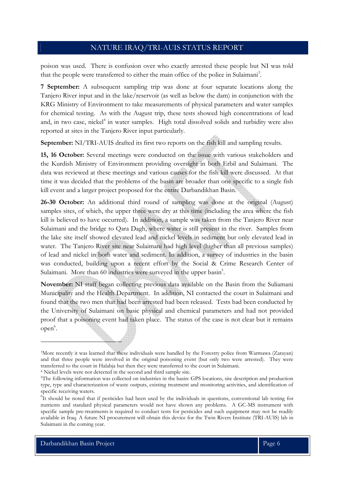poison was used. There is confusion over who exactly arrested these people but NI was told that the people were transferred to either the main office of the police in Sulaimani<sup>3</sup>.

**7 September:** A subsequent sampling trip was done at four separate locations along the Tanjero River input and in the lake/reservoir (as well as below the dam) in conjunction with the KRG Ministry of Environment to take measurements of physical parameters and water samples for chemical testing. As with the August trip, these tests showed high concentrations of lead and, in two case, nickel<sup>4</sup> in water samples. High total dissolved solids and turbidity were also reported at sites in the Tanjero River input particularly.

**September:** NI/TRI-AUIS drafted its first two reports on the fish kill and sampling results.

**15, 16 October:** Several meetings were conducted on the issue with various stakeholders and the Kurdish Ministry of Environment providing oversight in both Erbil and Sulaimani. The data was reviewed at these meetings and various causes for the fish kill were discussed. At that time it was decided that the problems of the basin are broader than one specific to a single fish kill event and a larger project proposed for the entire Darbandikhan Basin.

**26-30 October:** An additional third round of sampling was done at the original (August) samples sites, of which, the upper three were dry at this time (including the area where the fish kill is believed to have occurred). In addition, a sample was taken from the Tanjero River near Sulaimani and the bridge to Qara Dagh, where water is still present in the river. Samples from the lake site itself showed elevated lead and nickel levels in sediment but only elevated lead in water. The Tanjero River site near Sulaimani had high level (higher than all previous samples) of lead and nickel in both water and sediment. In addition, a survey of industries in the basin was conducted, building upon a recent effort by the Social & Crime Research Center of Sulaimani. More than 60 industries were surveyed in the upper basin<sup>5</sup>.

**November:** NI staff began collecting previous data available on the Basin from the Suliamani Municipality and the Health Department. In addition, NI contacted the court in Sulaimani and found that the two men that had been arrested had been released. Tests had been conducted by the University of Sulaimani on basic physical and chemical parameters and had not provided proof that a poisoning event had taken place. The status of the case is not clear but it remains open<sup>6</sup>.

<sup>3</sup>More recently it was learned that these individuals were handled by the Forestry police from Warmawa (Zarayan) and that three people were involved in the original poisoning event (but only two were arrested). They were transferred to the court in Halabja but then they were transferred to the court in Sulaimani. 4 Nickel levels were not detected in the second and third sample site.

<sup>&</sup>lt;sup>5</sup>The following information was collected on industries in the basin: GPS locations, site description and production type, type and characterization of waste outputs, existing treatment and monitoring activities, and identification of specific receiving waters.

<sup>&</sup>lt;sup>6</sup>It should be noted that if pesticides had been used by the individuals in questions, conventional lab testing for nutrients and standard physical parameters would not have shown any problems. A GC-MS instrument with specific sample pre-treatments is required to conduct tests for pesticides and such equipment may not be readily available in Iraq. A future NI procurement will obtain this device for the Twin Rivers Institute (TRI-AUIS) lab in Sulaimani in the coming year.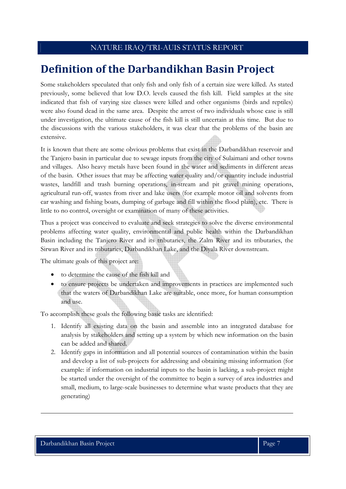# **Definition of the Darbandikhan Basin Project**

Some stakeholders speculated that only fish and only fish of a certain size were killed. As stated previously, some believed that low D.O. levels caused the fish kill. Field samples at the site indicated that fish of varying size classes were killed and other organisms (birds and reptiles) were also found dead in the same area. Despite the arrest of two individuals whose case is still under investigation, the ultimate cause of the fish kill is still uncertain at this time. But due to the discussions with the various stakeholders, it was clear that the problems of the basin are extensive.

It is known that there are some obvious problems that exist in the Darbandikhan reservoir and the Tanjero basin in particular due to sewage inputs from the city of Sulaimani and other towns and villages. Also heavy metals have been found in the water and sediments in different areas of the basin. Other issues that may be affecting water quality and/or quantity include industrial wastes, landfill and trash burning operations, in-stream and pit gravel mining operations, agricultural run-off, wastes from river and lake users (for example motor oil and solvents from car washing and fishing boats, dumping of garbage and fill within the flood plain), etc. There is little to no control, oversight or examination of many of these activities.

Thus a project was conceived to evaluate and seek strategies to solve the diverse environmental problems affecting water quality, environmental and public health within the Darbandikhan Basin including the Tanjero River and its tributaries, the Zalm River and its tributaries, the Sirwan River and its tributaries, Darbandikhan Lake, and the Diyala River downstream.

The ultimate goals of this project are:

- to determine the cause of the fish kill and
- to ensure projects be undertaken and improvements in practices are implemented such that the waters of Darbandikhan Lake are suitable, once more, for human consumption and use.

To accomplish these goals the following basic tasks are identified:

- 1. Identify all existing data on the basin and assemble into an integrated database for analysis by stakeholders and setting up a system by which new information on the basin can be added and shared.
- 2. Identify gaps in information and all potential sources of contamination within the basin and develop a list of sub-projects for addressing and obtaining missing information (for example: if information on industrial inputs to the basin is lacking, a sub-project might be started under the oversight of the committee to begin a survey of area industries and small, medium, to large-scale businesses to determine what waste products that they are generating)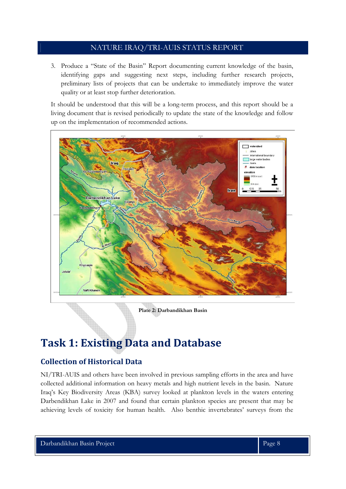3. Produce a "State of the Basin" Report documenting current knowledge of the basin, identifying gaps and suggesting next steps, including further research projects, preliminary lists of projects that can be undertake to immediately improve the water quality or at least stop further deterioration.

It should be understood that this will be a long-term process, and this report should be a living document that is revised periodically to update the state of the knowledge and follow up on the implementation of recommended actions.



**Plate 2: Darbandikhan Basin** 

# **Task 1: Existing Data and Database**

## **Collection of Historical Data**

NI/TRI-AUIS and others have been involved in previous sampling efforts in the area and have collected additional information on heavy metals and high nutrient levels in the basin. Nature Iraq's Key Biodiversity Areas (KBA) survey looked at plankton levels in the waters entering Darbendikhan Lake in 2007 and found that certain plankton species are present that may be achieving levels of toxicity for human health. Also benthic invertebrates' surveys from the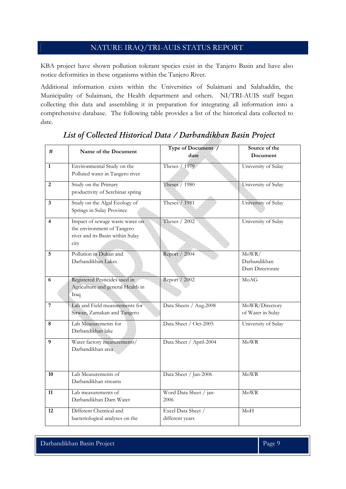KBA project have shown pollution tolerant species exist in the Tanjero Basin and have also notice deformities in these organisms within the Tanjero River.

Additional information exists within the Universities of Sulaimani and Salahaddin, the Municipality of Sulaimani, the Health department and others. NI/TRI-AUIS staff began collecting this data and assembling it in preparation for integrating all information into a comprehensive database. The following table provides a list of the historical data collected to date.

| #                       | Name of the Document                         | Type of Document /      | Source of the         |
|-------------------------|----------------------------------------------|-------------------------|-----------------------|
|                         |                                              | date                    | Document              |
| $\mathbf{1}$            | Environmental Study on the                   | Theses / 1979           | University of Sulay   |
|                         | Polluted water in Tangero river              |                         |                       |
| 2                       | Study on the Primary                         | Theses / 1980           | University of Sulay   |
|                         | productivity of Serchinar spring             |                         |                       |
| 3                       | Study on the Algal Ecology of                | Theses / 1981           | University of Sulay   |
|                         | Springs in Sulay Province                    |                         |                       |
| $\overline{\mathbf{4}}$ | Impact of sewage waste water on              | Theses / 2002           | University of Sulay   |
|                         | the environment of Tangero                   |                         |                       |
|                         | river and its Basin within Sulay             |                         |                       |
|                         | city                                         |                         |                       |
| 5                       | Pollution in Dukan and<br>Darbandikhan Lakes | Report / 2004           | MoWR/<br>Darbandikhan |
|                         |                                              |                         | Dam Directorate       |
|                         |                                              |                         |                       |
| 6                       | Registered Pesticides used in                | Report / 2002           | MoAG                  |
|                         | Agriculture and general Health in<br>Iraq    |                         |                       |
|                         |                                              |                         |                       |
| 7                       | Lab and Field measurements for               | Data Sheets / Aug.2008  | MoWR/Directory        |
|                         | Sirwan, Zamakan and Tangero                  |                         | of Water in Sulay     |
| 8                       | Lab Measurements for                         | Data Sheet / Oct-2005   | University of Sulay   |
|                         | Darbandikhan lake                            |                         |                       |
| 9                       | Water factory measurements/                  | Data Sheet / April-2004 | MoWR                  |
|                         | Darbandikhan area                            |                         |                       |
|                         |                                              |                         |                       |
|                         | Lab Measurements of                          |                         |                       |
| 10                      | Darbandikhan streams                         | Data Sheet / Jan-2006   | MoWR                  |
|                         |                                              |                         |                       |
| 11                      | Lab measurements of                          | Word Data Sheet / jan-  | $\rm MoWR$            |
|                         | Darbandikhan Dam Water                       | 2006                    |                       |
| 12                      | Different Chemical and                       | Excel Data Sheet /      | M <sub>o</sub> H      |
|                         | bacteriological analyses on the              | different years         |                       |

## *List of Collected Historical Data / Darbandikhan Basin Project*

Darbandikhan Basin Project **Page 9** Page 9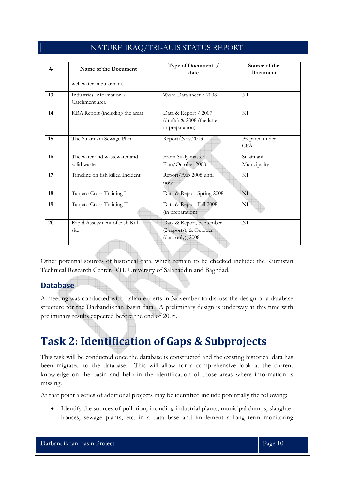| NATURE IRAQ/TRI-AUIS STATUS REPORT |  |
|------------------------------------|--|
|------------------------------------|--|

| #  | Name of the Document                        | Type of Document /<br>date                                              | Source of the<br>Document    |
|----|---------------------------------------------|-------------------------------------------------------------------------|------------------------------|
|    | well water in Sulaimani.                    |                                                                         |                              |
| 13 | Industries Information /<br>Catchment area  | Word Data sheet / 2008                                                  | NI                           |
| 14 | KBA Report (including the area)             | Data & Report / 2007<br>(drafts) & 2008 (the latter<br>in preparation)  | NI                           |
| 15 | The Sulaimani Sewage Plan                   | Report/Nov.2003                                                         | Prepared under<br><b>CPA</b> |
| 16 | The water and wastewater and<br>solid waste | From Sualy master<br>Plan/October 2008                                  | Sulaimani<br>Municipality    |
| 17 | Timeline on fish killed Incident            | Report/Aug 2008 until<br>now                                            | NI                           |
| 18 | Tanjero Cross Training I                    | Data & Report Spring 2008                                               | NI                           |
| 19 | Tanjero Cross Training II                   | Data & Report Fall 2008<br>(in preparation)                             | NI                           |
| 20 | Rapid Assessment of Fish Kill<br>site       | Data & Report, September<br>(2 reports), & October<br>(data only), 2008 | NI                           |

Other potential sources of historical data, which remain to be checked include: the Kurdistan Technical Research Center, RTI, University of Salahaddin and Baghdad.

## **Database**

A meeting was conducted with Italian experts in November to discuss the design of a database structure for the Darbandikhan Basin data. A preliminary design is underway at this time with preliminary results expected before the end of 2008.

# **Task 2: Identification of Gaps & Subprojects**

This task will be conducted once the database is constructed and the existing historical data has been migrated to the database. This will allow for a comprehensive look at the current knowledge on the basin and help in the identification of those areas where information is missing.

At that point a series of additional projects may be identified include potentially the following:

• Identify the sources of pollution, including industrial plants, municipal dumps, slaughter houses, sewage plants, etc. in a data base and implement a long term monitoring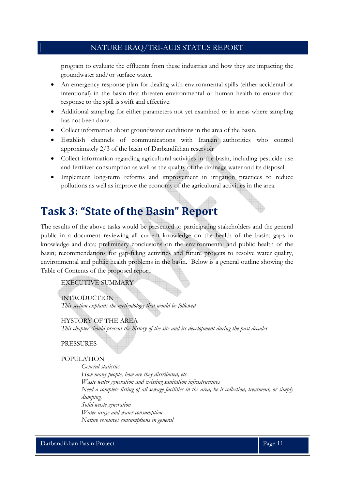program to evaluate the effluents from these industries and how they are impacting the groundwater and/or surface water.

- An emergency response plan for dealing with environmental spills (either accidental or intentional) in the basin that threaten environmental or human health to ensure that response to the spill is swift and effective.
- Additional sampling for either parameters not yet examined or in areas where sampling has not been done.
- Collect information about groundwater conditions in the area of the basin.
- Establish channels of communications with Iranian authorities who control approximately 2/3 of the basin of Darbandikhan reservoir
- Collect information regarding agricultural activities in the basin, including pesticide use and fertilizer consumption as well as the quality of the drainage water and its disposal.
- Implement long-term reforms and improvement in irrigation practices to reduce pollutions as well as improve the economy of the agricultural activities in the area.

# **Task 3: "State of the Basin" Report**

The results of the above tasks would be presented to participating stakeholders and the general public in a document reviewing all current knowledge on the health of the basin; gaps in knowledge and data; preliminary conclusions on the environmental and public health of the basin; recommendations for gap-filling activities and future projects to resolve water quality, environmental and public health problems in the basin. Below is a general outline showing the Table of Contents of the proposed report.

#### EXECUTIVE SUMMARY

INTRODUCTION *This section explains the methodology that would be followed* 

HYSTORY OF THE AREA *This chapter should present the history of the site and its development during the past decades* 

PRESSURES

#### POPULATION

*General statistics How many people, how are they distributed, etc. Waste water generation and existing sanitation infrastructures Need a complete listing of all sewage facilities in the area, be it collection, treatment, or simply dumping. Solid waste generation Water usage and water consumption Nature resources consumptions in general*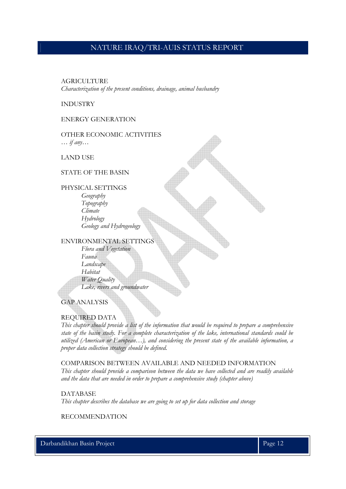#### **AGRICULTURE**

*Characterization of the present conditions, drainage, animal husbandry* 

#### INDUSTRY

#### ENERGY GENERATION

OTHER ECONOMIC ACTIVITIES *… if any…* 

LAND USE

#### STATE OF THE BASIN

PHYSICAL SETTINGS *Geography Topography Climate Hydrology Geology and Hydrogeology* 

#### ENVIRONMENTAL SETTINGS

*Flora and Vegetation Fauna Landscape Habitat Water Quality Lake, rivers and groundwater* 

GAP ANALYSIS

#### REQUIRED DATA

*This chapter should provide a list of the information that would be required to prepare a comprehensive state of the basin study. For a complete characterization of the lake, international standards could be utilized (American or European…), and considering the present state of the available information, a proper data collection strategy should be defined.* 

COMPARISON BETWEEN AVAILABLE AND NEEDED INFORMATION *This chapter should provide a comparison between the data we have collected and are readily available and the data that are needed in order to prepare a comprehensive study (chapter above)* 

DATABASE

*This chapter describes the database we are going to set up for data collection and storage* 

#### RECOMMENDATION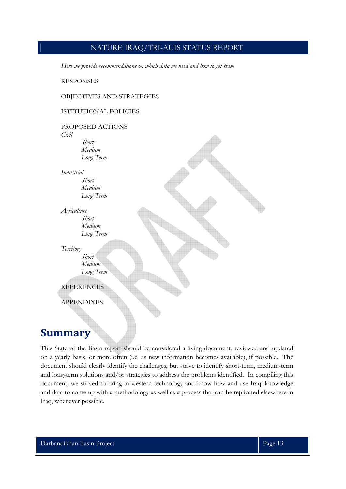*Here we provide recommendations on which data we need and how to get them* 

RESPONSES

#### OBJECTIVES AND STRATEGIES

#### ISTITUTIONAL POLICIES



## **Summary**

This State of the Basin report should be considered a living document, reviewed and updated on a yearly basis, or more often (i.e. as new information becomes available), if possible. The document should clearly identify the challenges, but strive to identify short-term, medium-term and long-term solutions and/or strategies to address the problems identified. In compiling this document, we strived to bring in western technology and know how and use Iraqi knowledge and data to come up with a methodology as well as a process that can be replicated elsewhere in Iraq, whenever possible.